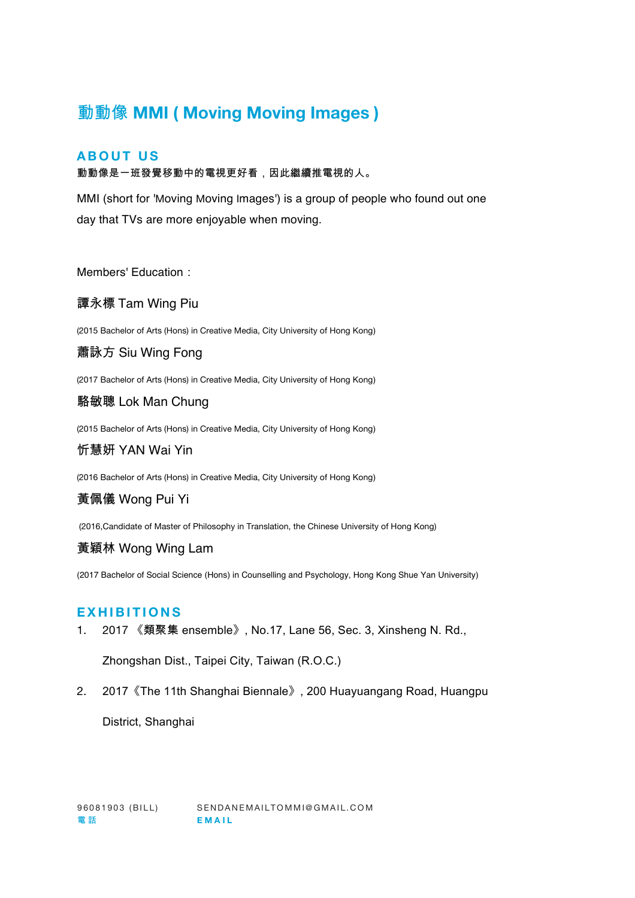# 動動像 **MMI ( Moving Moving Images )**

## **ABOUT U S**

動動像是一班發覺移動中的電視更好看,因此繼續推電視的人。

MMI (short for 'Moving Moving Images') is a group of people who found out one day that TVs are more enjoyable when moving.

Members' Education:

# 譚永標 Tam Wing Piu

(2015 Bachelor of Arts (Hons) in Creative Media, City University of Hong Kong)

蕭詠方 Siu Wing Fong

(2017 Bachelor of Arts (Hons) in Creative Media, City University of Hong Kong)

## 駱敏聰 Lok Man Chung

(2015 Bachelor of Arts (Hons) in Creative Media, City University of Hong Kong)

## 忻慧妍 YAN Wai Yin

(2016 Bachelor of Arts (Hons) in Creative Media, City University of Hong Kong)

# 黃佩儀 Wong Pui Yi

(2016,Candidate of Master of Philosophy in Translation, the Chinese University of Hong Kong)

### 黃穎林 Wong Wing Lam

(2017 Bachelor of Social Science (Hons) in Counselling and Psychology, Hong Kong Shue Yan University)

### **EXHIBITIONS**

1. 2017 《類聚集 ensemble》, No.17, Lane 56, Sec. 3, Xinsheng N. Rd.,

Zhongshan Dist., Taipei City, Taiwan (R.O.C.)

2. 2017《The 11th Shanghai Biennale》, 200 Huayuangang Road, Huangpu

District, Shanghai